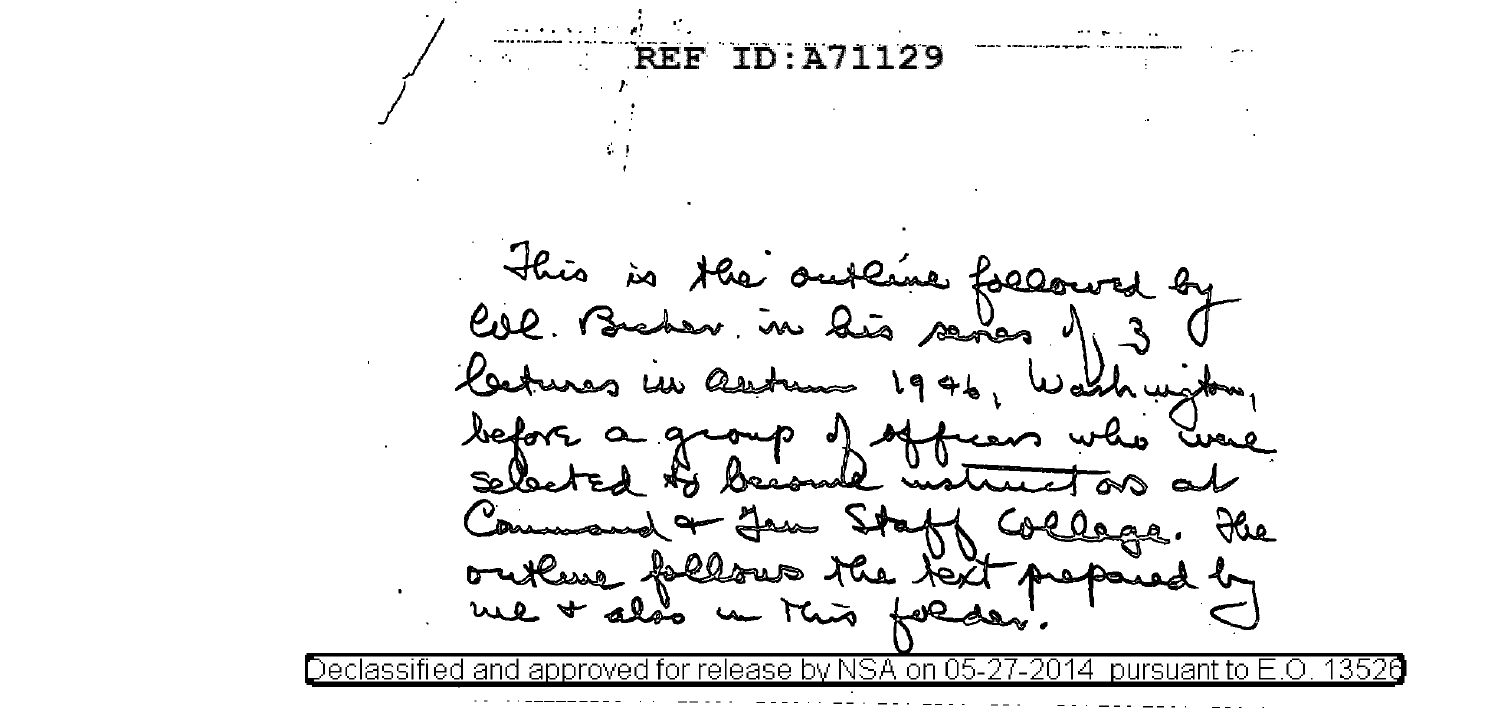REF ID: A71129 This is the or teme followed  $4\sigma$ Col. Brake his senes 1  $\overline{\mathbf{v}}$ , in lat befo  $Q \sim Q \sim Q$ becomme un the  $\frac{1}{2}$ us Holls land annroved for release by NSA on IД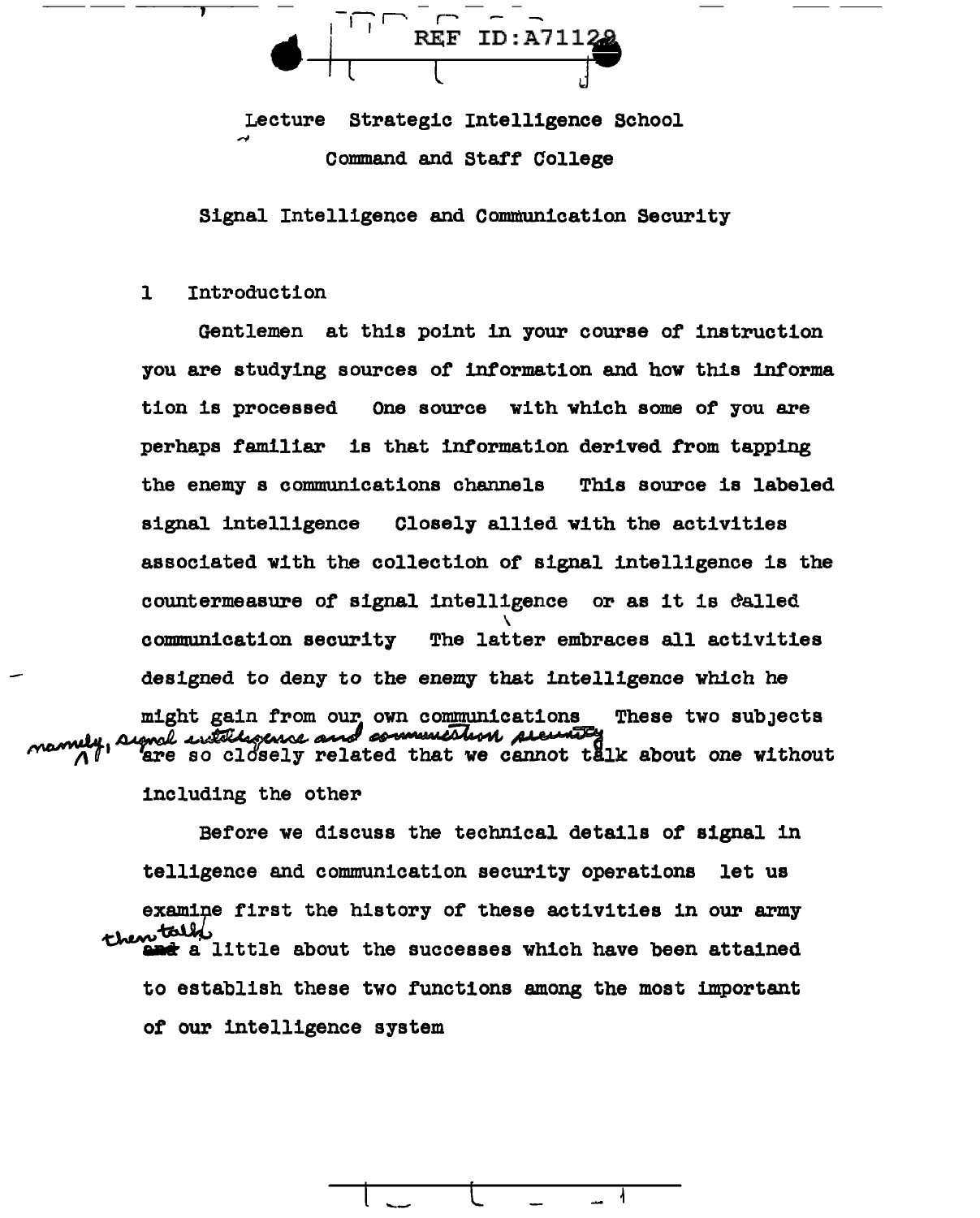$\blacktriangle$  REF ID:A711 $\frac{28}{2}$ l l J

Lecture Strategic Intelligence School Command and Staff College

Signal Intelligence and Communication Security

1 Introduction

-------~--

Gentlemen at this point in your course of instruction you are studying sources of information and how this informa tion is processed One source with which some of you are perhaps familiar is that information derived from tapping the enemy s communications channels This source is labeled signal intelligence Closely allied with the activities associated with the collection of signal intelligence is the countermeasure of signal intelligence or as it is dalled \ communication security The latter embraces all activities designed to deny to the enemy that intelligence which he might gain from our own communications these two subjects manufactions and communications are the subjects manufacture.

including the other

Before we discuss the technical details of signal in telligence and communication security operations let us examine first the history of these activities in our army then the intervals. t a little about the successes which have been attained to establish these two functions among the most important of our intelligence system

 $l - \frac{l}{l}$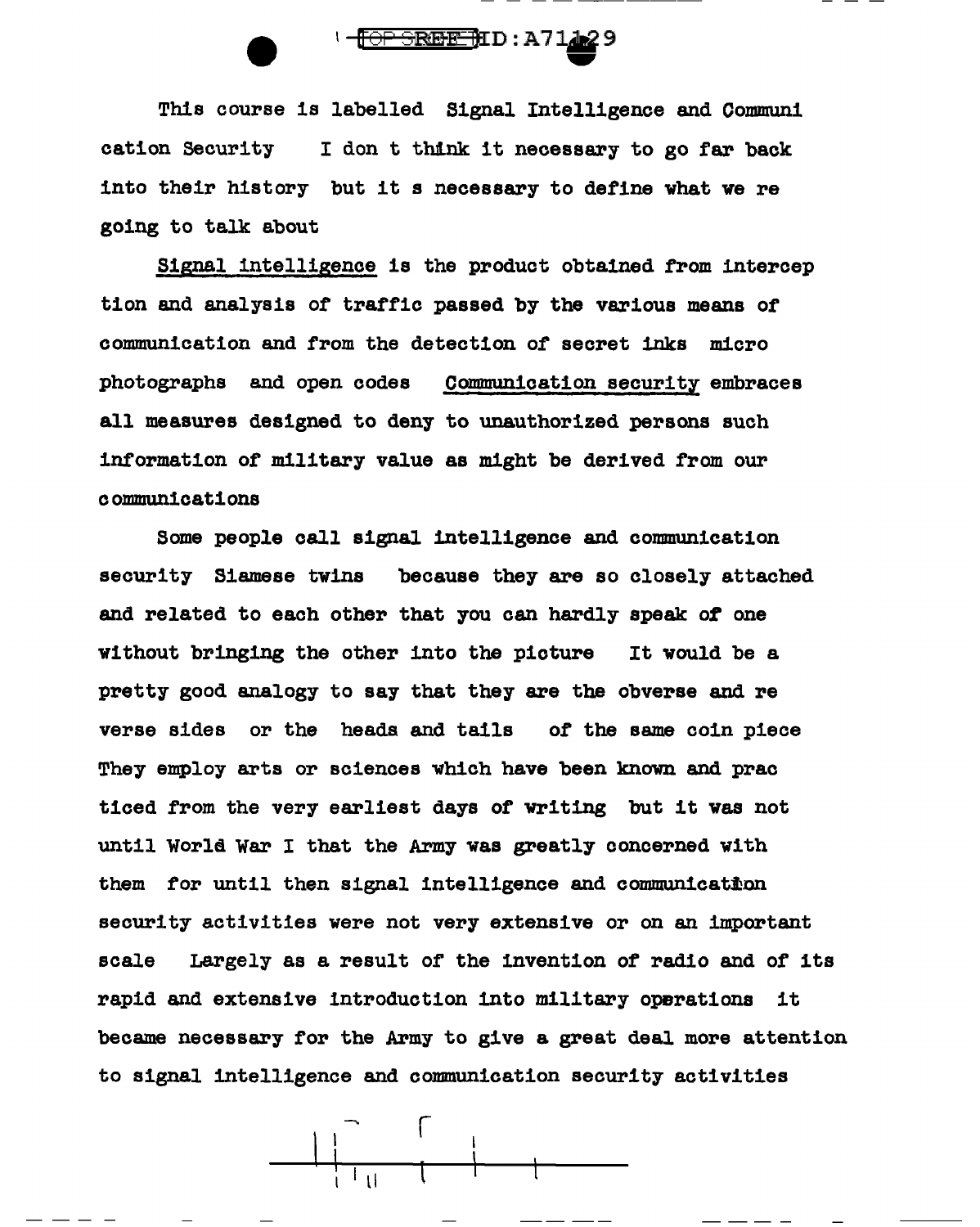

This course is labelled Signal Intelligence and Communi cation Security I don t think it necessary to go far back into their history but it s necessary to define what we re going to talk about

Signal intelligence is the product obtained from intercep tion and analysis of traffic passed by the various means of communication and from the detection of secret inks micro photographs and open codes Communication security embraces all measures designed to deny to unauthorized persons such information of military value as might be derived from our communications

Some people call signal intelligence and communication security Siamese twins because they are so closely attached and related to each other that you can hardly speak of one without bringing the other into the picture It would be a pretty good analogy to say that they are the obverse and re verse sides or the heads and tails of the same coin piece They employ arts or sciences which have been known and prac ticed from the very earliest days of writing but it was not until World War I that the Army was greatly concerned with them for until then signal intelligence and communication security activities were not very extensive or on an important scale Largely as a result of the invention of radio and of its rapid and extensive introduction into military operations it became necessary for the Army to give a great deal more attention to signal intelligence and communication security activities

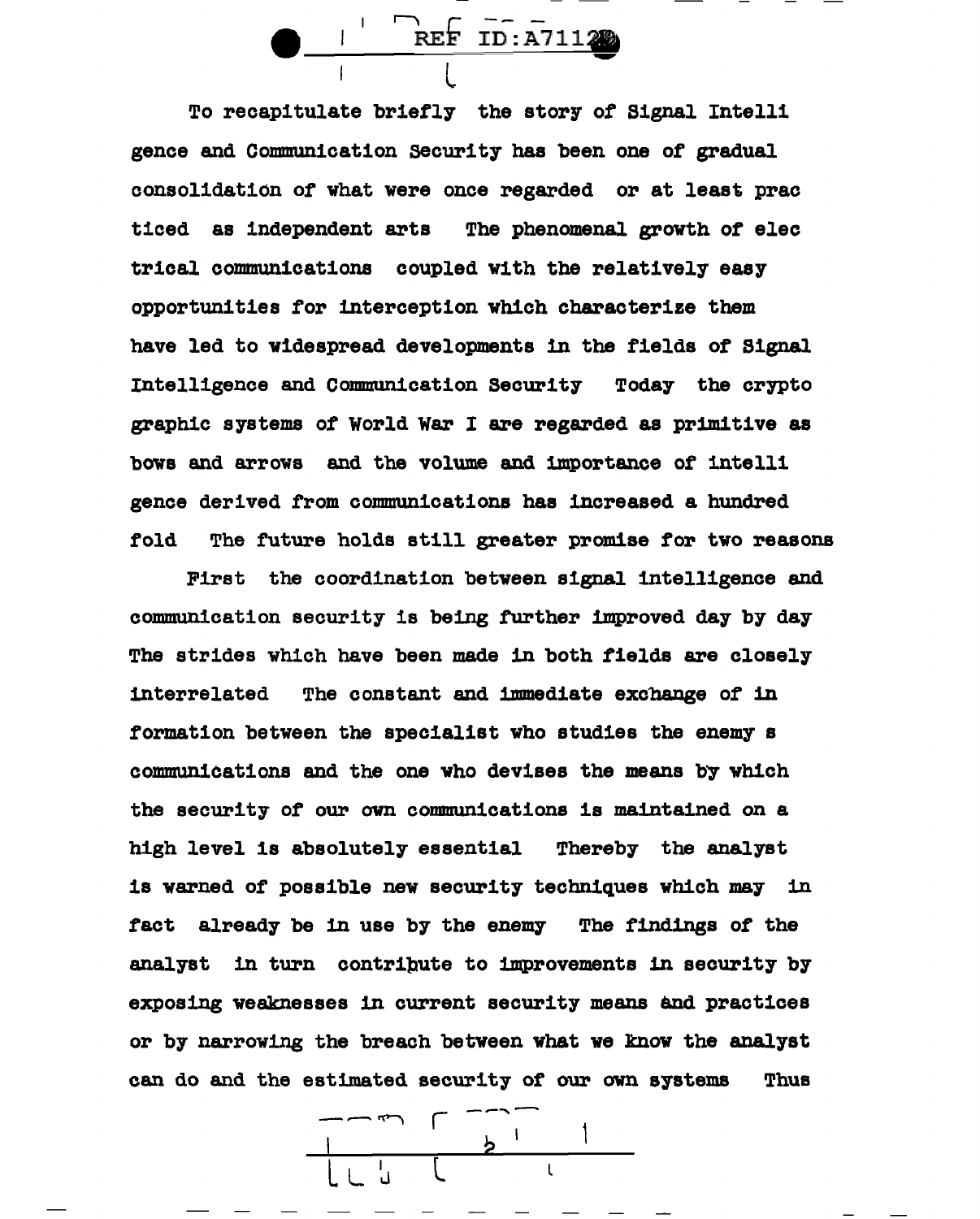$\frac{7}{L}$  REF ID:A71120

To recapitulate briefly the story of Signal Intelli gence and Communication security has been one of gradual consolidation of what were once regarded or at least prac ticed as independent arts The phenomenal growth or elec trical communications coupled with the relatively easy opportunities tor interception which characterize them have led to widespread developments 1n the fields of Signal Intelligence and Communication Security Today the crypto graphic systems of World War I are regarded as primitive as bows and arrows and the volume and importance of intelli gence derived from communications has increased a hundred fold The future holds still greater promise for two reasons

Pirst the coordination between signal intelligence and communication security is being turther improved day by day The strides which have been made in both fields are closely interrelated The constant and immediate excbange of 1n formation between the specialist who studies the enemy s communications and the one who devises the means b'y which the security of our own communications is maintained on a high level is absolutely essential Thereby the analyst is warned of possible new security techniques which may 1n tact already be 1n use by the enemy The findings of the analyst in turn contripute to improvements 1n security by exposing weaknesses in current security means and practices or by narrowing the breach between what we know the analyst can do and the estimated security of our own systems Thus

 $\Gamma$  -  $\Gamma$ l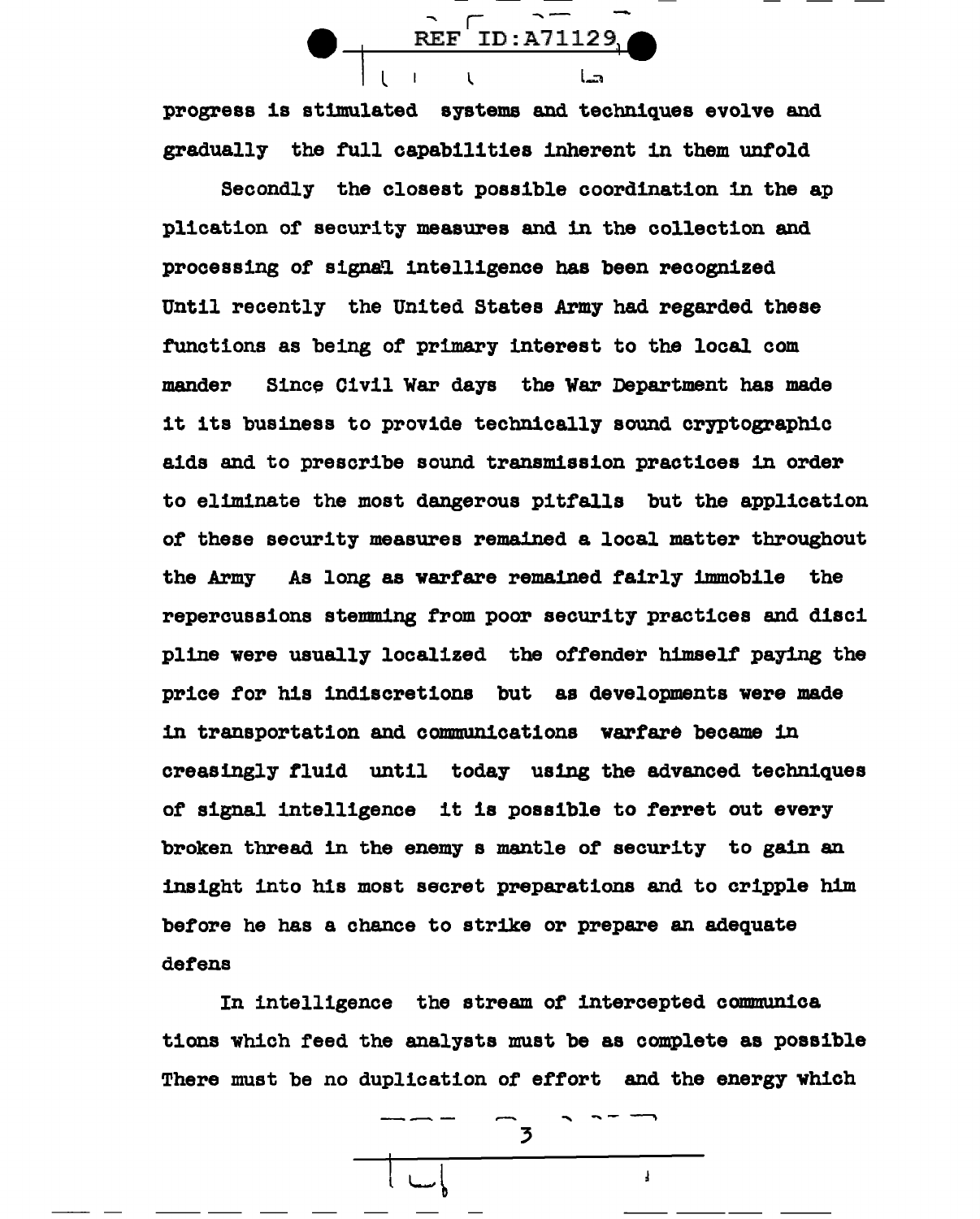progress is stimulated systems and techniques evolve and gradually the full capabilities inherent in them untold

 $\overline{R}$   $\overline{R}$   $\overline{R}$   $\overline{R}$   $\overline{R}$   $\overline{R}$   $\overline{R}$   $\overline{R}$   $\overline{R}$   $\overline{R}$   $\overline{R}$   $\overline{R}$   $\overline{R}$   $\overline{R}$   $\overline{R}$   $\overline{R}$   $\overline{R}$   $\overline{R}$   $\overline{R}$   $\overline{R}$   $\overline{R}$   $\overline{R}$   $\overline{R}$   $\overline{R}$   $\overline{$ 

**ا آتس**ا

Secondly the closest possible coordination 1n the ap plication or security measures and 1n the collection and processing of signal intelligence has been recognized Until recently the United States Army had regarded these functions as being of primary interest to the local com mander Since Civil War days the War Department has made it its business to provide technically sound cryptographic aids and to prescribe sound transmission practices in order to eliminate the most dangerous pitfalls but the application of these security measures remained a local matter throughout the Army As long as warfare remained fairly immobile the repercussions stemming from poor security practices and disci pline were usually localized the offender himself paying the price for his indiscretions but as developments were made 1n transportation and communications warfare became in creasingly fluid until today using the advanced techniques or signal intelligence it is possible to ferret out every broken thread in the enemy s mantle of security to gain an insight into his most secret preparations and to cripple h1m before he has a chance to strike or prepare an adequate defens

In intelligence the stream of intercepted communica tions which reed the analysts must be as complete as possible There must be no duplication of effort and the energy which

 $\overline{\phantom{a}}$ 

 $\mathbf{I}$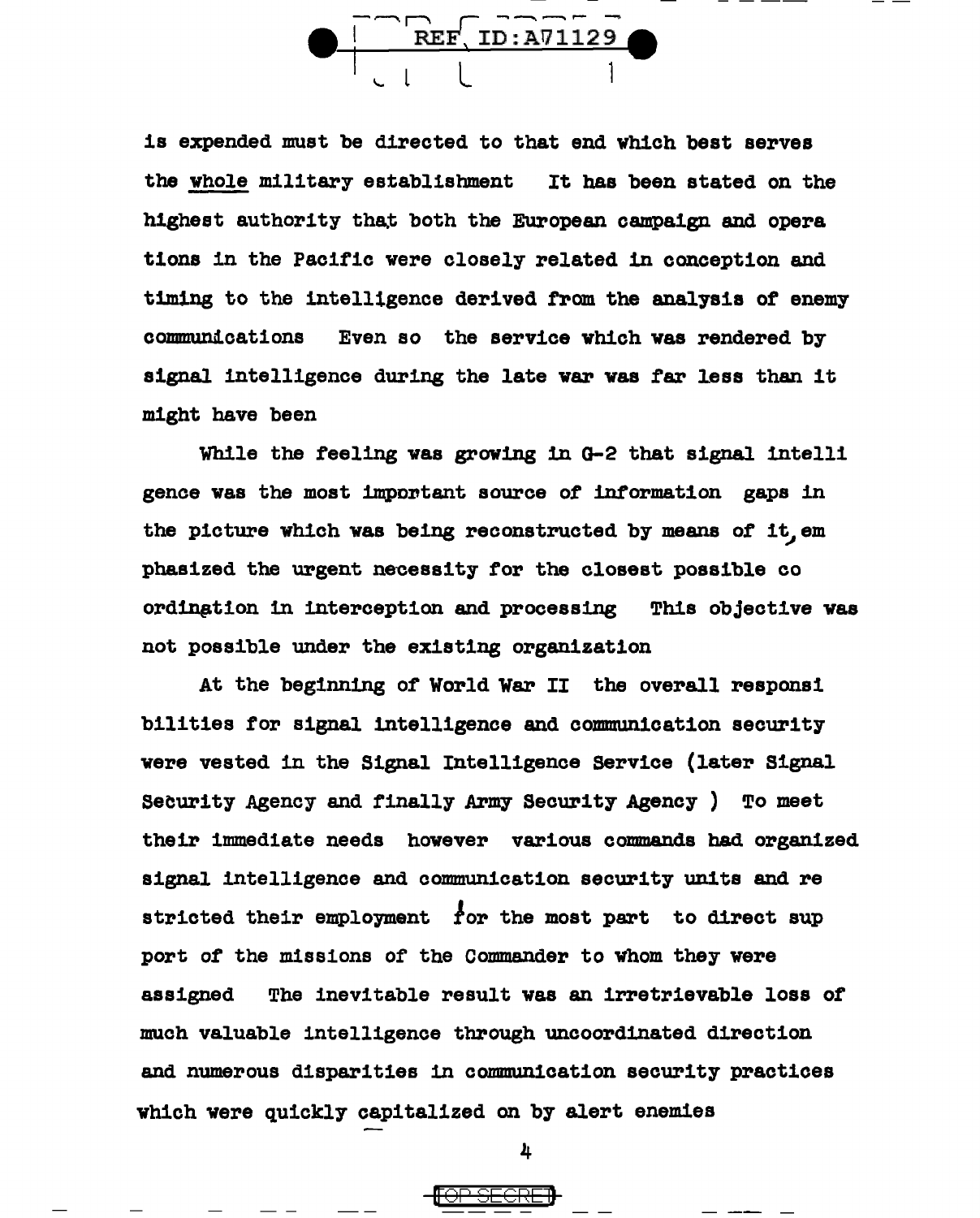<u>REF, ID:A71129</u>

is expended must be directed to that end which best serves the whole military establishment It has been stated on the highest authority that both the European campaign and opera tions in the Pacific were closely related in conception and timing to the 1ntell1gence derived trom the analysis of enemy communications Even so the service which was rendered by signal intelligence during the late war was far less than it might have been

While the feeling was growing 1n G-2 that signal intelli gence was the most important source of information gaps in the picture which was being reconstructed by means of it, em phasized the urgent necessity for the closest possible co ordingtion in interception and processing This objective was not possible under the existing organization

At the beginning of' World War II the overall respons1 bilities tor signal intelligence and communication security were vested in the Signal Intelligence Service (later Signal Security Agency and finally Army Security Agency ) To meet their immediate needs however various commands bad organized signal intelligence and communication security units and re stricted their employment for the most part to direct sup port of the missions of the Commander to whom they were assigned The inevitable result was an irretrievable loss of much valuable intelligence through uncoordinated direction and numerous disparities 1n communication security practices which were quickly capitalized on by alert enemies

4

<del>[OP SECRE]</del>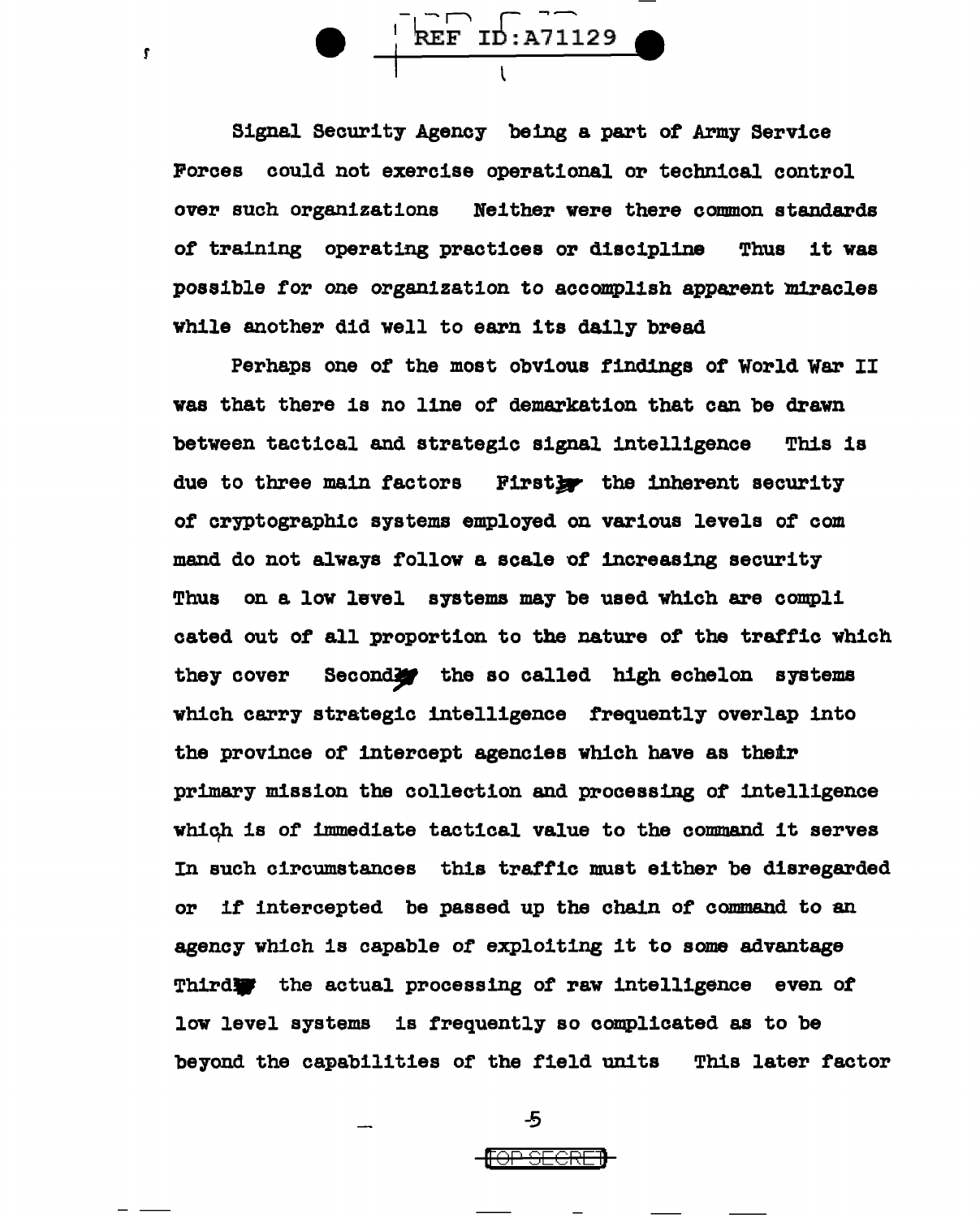$\overbrace{\text{REF ID:} \text{A71129}}$ 

r

Signal Security Agency being a part of Army Service Forces could not exercise operational or technical control over such organizations Neither were there common standards of training operating practices or discipline Thus it was possible for one organization to accomplish apparent miracles while another did well to earn its daily bread

Perhaps one of the most obvious findings of World War II was that there is no line of demarkation that can be drawn between tactical and strategic signal intelligence This is due to three main factors Firstby the inherent security of cryptographic systems employed on various levels of com mend do not always follow a scale of increasing security Thus on a low level systems may be used which are compli cated out of all proportion to the nature of the traffic which they cover Secondly the so called high echelon systems which carry strategic intelligence frequently overlap into the province of intercept agencies which have as thetr primary mission the collection and processing of intelligence which is of immediate tactical value to the command it serves In such circumstances this traffic must either be disregarded or if intercepted be passed up the chain of command to an agency which is capable of exploiting it to some advantage Thirdight the actual processing of raw intelligence even of low level systems is frequently so complicated as to be beyond the capabilities of the field units This later factor

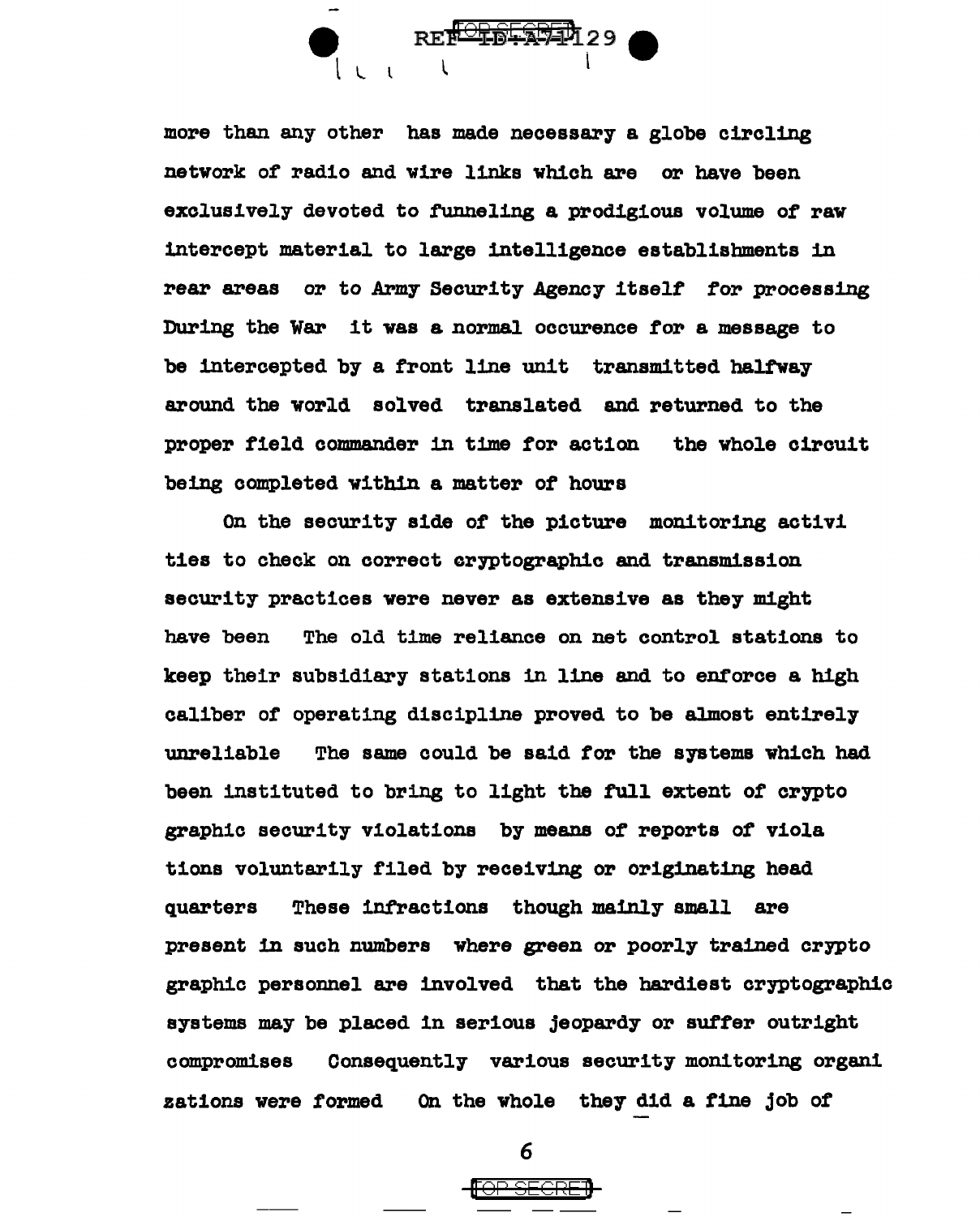

more than any other has made necessary a globe circling network of radio and wire links which are or have been exclusively devoted to funneling a prodigious volume of raw intercept material to large intelligence establishments in rear areas or to Army Security Agency itself for processing During the War it was a normal occurence for a message to be intercepted by a front line unit transmitted halfway around the world solved translated and returned to the proper field commander 1n time for action the whole circuit being completed within a matter of hours

On the security side of the picture monitoring activi ties to check on correct cryptographic and transmission security practices were never as extensive as they might have been The old time reliance on net control stations to keep their subsidiary stations 1n line and to entorce a high caliber or operating discipline proved to be almost entirely unreliable The same could be said for the systems which had been instituted to bring to light the full extent of crypto graphic security violations by means of reports of viola tions voluntarily filed by receiving or originating head quarters These infractions though mainly small are present in such numbers where green or poorly trained crypto graphic personnel are involved that the hardiest cryptographic systems may be placed in serious jeopardy or suffer outright compromises Consequently various security monitoring organi zations were formed On the whole they did a tine job of

6

<del>[OP SECRE]</del>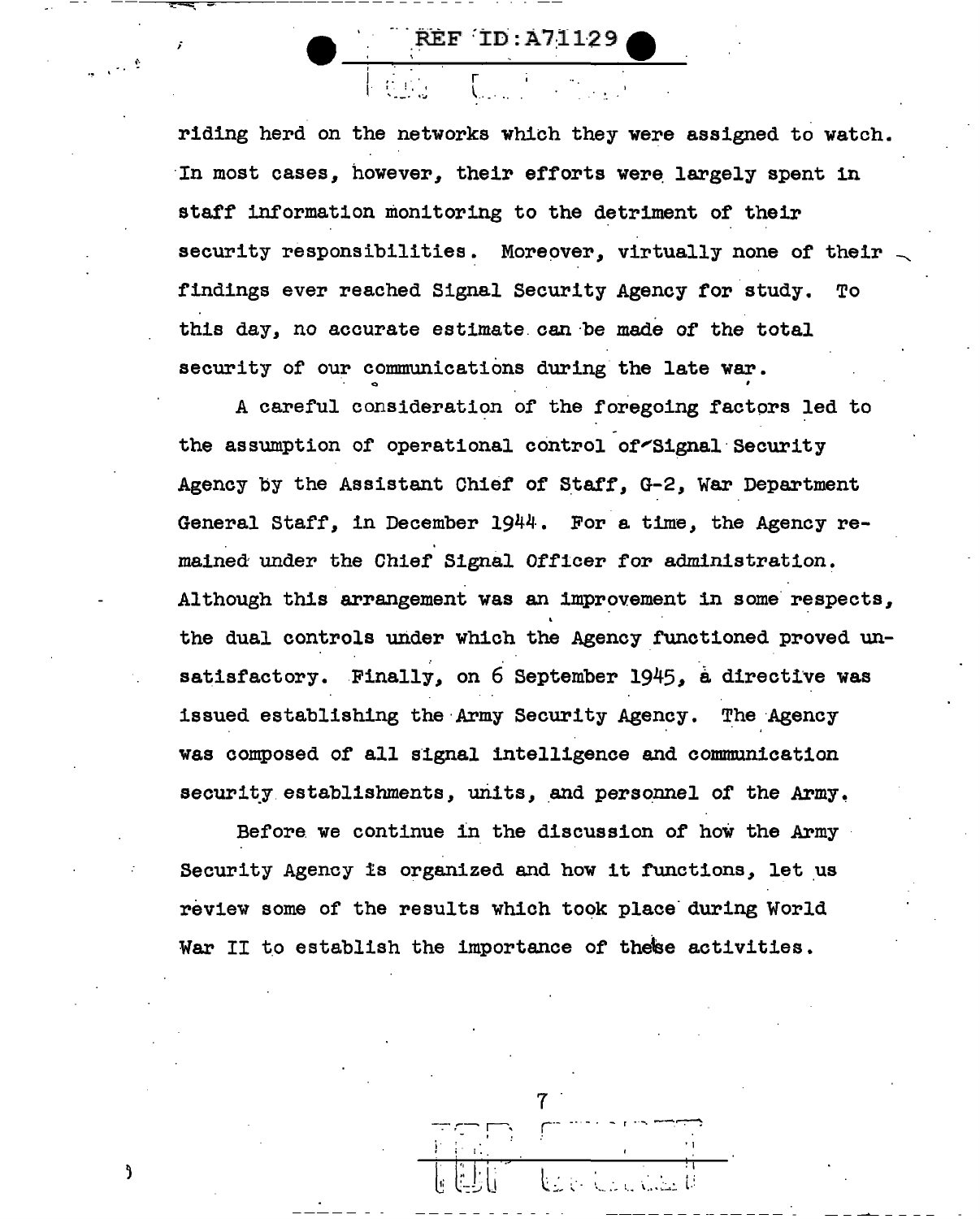**REF ID:A71129** 

riding herd on the networks which they were assigned to watch. In most cases, however, their efforts were largely spent in staff information monitoring to the detriment of their security responsibilities. Moreover, virtually none of their findings ever reached Signal Security Agency for study. To this day, no accurate estimate can be made of the total security of our communications during the late war.

A careful consideration of the foregoing factors led to the assumption of operational control of Signal Security Agency by the Assistant Chief of Staff. G-2. War Department General Staff, in December 1944. For a time, the Agency remained under the Chief Signal Officer for administration. Although this arrangement was an improvement in some respects, the dual controls under which the Agency functioned proved unsatisfactory. Finally, on 6 September 1945, a directive was issued establishing the Army Security Agency. The Agency was composed of all signal intelligence and communication security establishments, units, and personnel of the Army.

Before we continue in the discussion of how the Army Security Agency is organized and how it functions, let us review some of the results which took place during World War II to establish the importance of these activities.

Ĵ